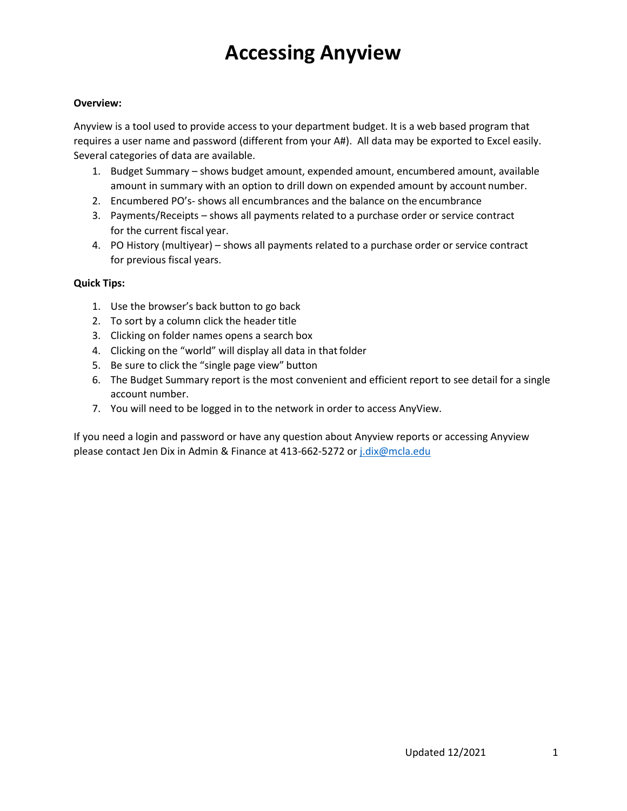#### **Overview:**

Anyview is a tool used to provide access to your department budget. It is a web based program that requires a user name and password (different from your A#). All data may be exported to Excel easily. Several categories of data are available.

- 1. Budget Summary shows budget amount, expended amount, encumbered amount, available amount in summary with an option to drill down on expended amount by account number.
- 2. Encumbered PO's- shows all encumbrances and the balance on the encumbrance
- 3. Payments/Receipts shows all payments related to a purchase order or service contract for the current fiscal year.
- 4. PO History (multiyear) shows all payments related to a purchase order or service contract for previous fiscal years.

#### **Quick Tips:**

- 1. Use the browser's back button to go back
- 2. To sort by a column click the header title
- 3. Clicking on folder names opens a search box
- 4. Clicking on the "world" will display all data in that folder
- 5. Be sure to click the "single page view" button
- 6. The Budget Summary report is the most convenient and efficient report to see detail for a single account number.
- 7. You will need to be logged in to the network in order to access AnyView.

If you need a login and password or have any question about Anyview reports or accessing Anyview please contact Jen Dix in Admin & Finance at 413-662-5272 or [j.dix@mcla.edu](mailto:j.dix@mcla.edu)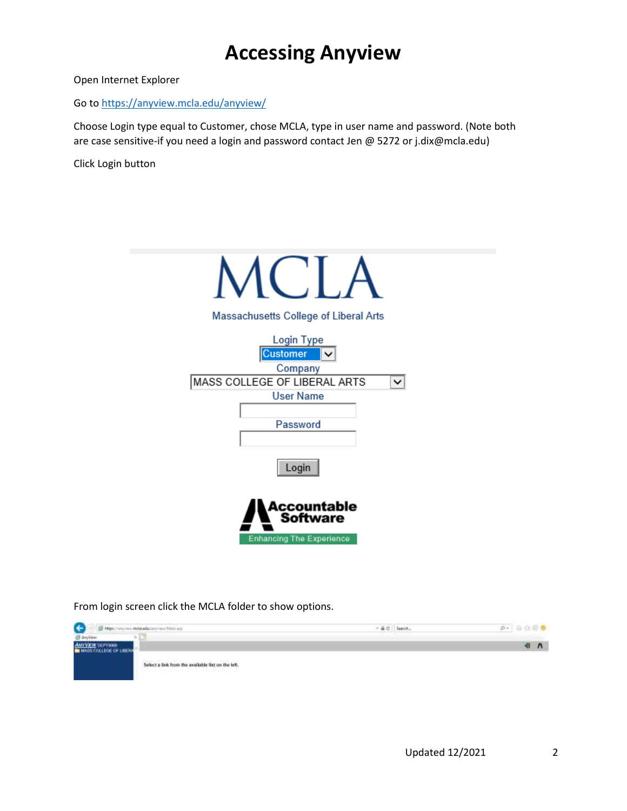Open Internet Explorer

Go to<https://anyview.mcla.edu/anyview/>

Choose Login type equal to Customer, chose MCLA, type in user name and password. (Note both are case sensitive-if you need a login and password contact Jen @ 5272 or j.dix@mcla.edu)

Click Login button



From login screen click the MCLA folder to show options.

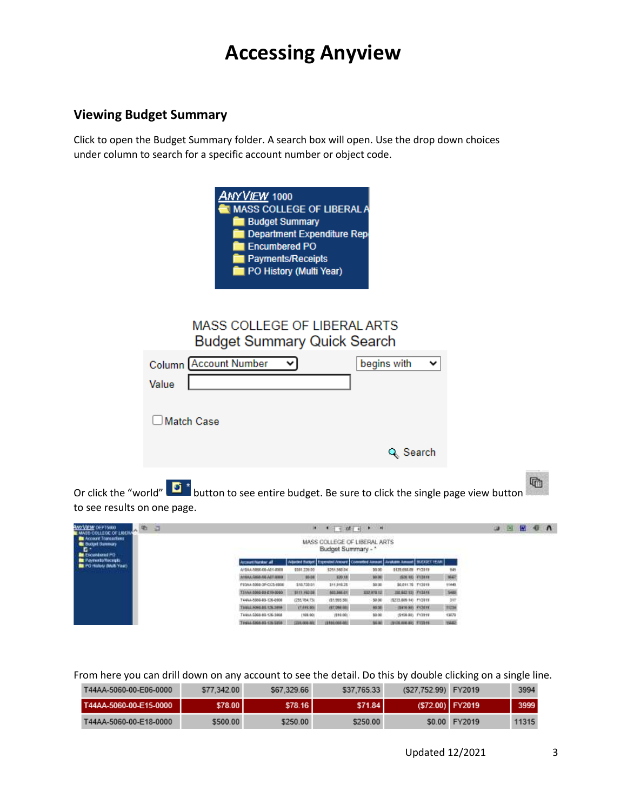### **Viewing Budget Summary**

Click to open the Budget Summary folder. A search box will open. Use the drop down choices under column to search for a specific account number or object code.

| <u>ANYVIEW</u> 1000<br><b>MASS COLLEGE OF LIBERAL A</b><br><b>Budget Summary</b><br><b>Department Expenditure Rep</b><br><b>Encumbered PO</b><br><b>Payments/Receipts</b><br>PO History (Multi Year) |                  |   |
|------------------------------------------------------------------------------------------------------------------------------------------------------------------------------------------------------|------------------|---|
| MASS COLLEGE OF LIBERAL ARTS<br><b>Budget Summary Quick Search</b><br><b>Column Account Number</b><br>v<br>Value                                                                                     | begins with<br>◡ |   |
| <b>Match Case</b>                                                                                                                                                                                    |                  |   |
|                                                                                                                                                                                                      | Q Search         |   |
|                                                                                                                                                                                                      |                  | 厅 |

Or click the "world" **button to see entire budget. Be sure to click the single page view button** to see results on one page.

| 道<br><b>ANYVEW DEPTS000</b><br>衢<br><b>MASS COLLEGE OF LIBER</b>                              |                          |                        |                    | $1 - 4 = 24 + 12 = 1$                                                                    |                            |        | ш | (M) | м | $\mathbf{A}$ |  |
|-----------------------------------------------------------------------------------------------|--------------------------|------------------------|--------------------|------------------------------------------------------------------------------------------|----------------------------|--------|---|-----|---|--------------|--|
| <b>Re</b> Account Transactions<br><b>BE Bulget Summary</b><br>D.<br><b>Bill</b> Encycloped PO |                          |                        | Budget Summary - * | MASS COLLEGE OF LIBERAL ARTS                                                             |                            |        |   |     |   |              |  |
| <b>RE Payments/Hacegos</b>                                                                    | Account Nantair all      |                        |                    | Aljacket Ratgel   Expressed Annuard   Committed Annuard   Avaluate Annuard   BUDGET VEAR |                            |        |   |     |   |              |  |
| Carl Ruther (Mark Year)                                                                       | A19AA-5060-06-A01-8008   | 9381.220.00            | \$251,560.04       | 30.00                                                                                    | \$129,055.08 PV2019        | 545    |   |     |   |              |  |
|                                                                                               | ATELLE RAISE AT 1800     | 85.08                  | 820.18             | 90.00                                                                                    | (526.10) PV2019            | 3643   |   |     |   |              |  |
|                                                                                               | FE3AA-5368-3P-CC5-6808   | \$18,738.61            | 311,916.25         | 50.00                                                                                    | 36.011.T6 FY2019           | 11449. |   |     |   |              |  |
|                                                                                               | 131AN 5065-50-E19-0080   | 9111.162.08            | \$03,006.01        | 102 978 12                                                                               | <b>HEAD HEATHER</b>        | 5480   |   |     |   |              |  |
|                                                                                               | 14455-221-08-0304-2457   | (235,784,73)           | (\$1,955.50)       | $-50.00$                                                                                 | (\$233,609.14) PY2013      | 387    |   |     |   |              |  |
|                                                                                               | 91041 5061 01:125-2014   | 17.915.00E             | (87,098,685)       | 80.50                                                                                    | (\$416.90), PX2019)        | 35284  |   |     |   |              |  |
|                                                                                               | 8002-201-08-09/14 AM     | (108.00)               | (\$10.00)          | \$0.00                                                                                   | (\$18,80) FV2019           | 13078  |   |     |   |              |  |
|                                                                                               | T4455 SIMILINE 125 SIMIL | <b>COVA (900) 7920</b> | 19100.003.001      | \$4.00                                                                                   | canist wat auto Fresh Hill | 19482  |   |     |   |              |  |

From here you can drill down on any account to see the detail. Do this by double clicking on a single line.

| T44AA-5060-00-E06-0000 | \$77,342.00 | \$67.329.66 | \$37,765.33 | (\$27,752.99) FY2019 |               | 3994  |
|------------------------|-------------|-------------|-------------|----------------------|---------------|-------|
| T44AA-5060-00-E15-0000 | S78.00 I    | S78.16 I    | S71.84 I    | (\$72.00) FY2019     |               | 3999  |
| T44AA-5060-00-E18-0000 | \$500.00    | \$250.00    | \$250.00    |                      | \$0.00 FY2019 | 11315 |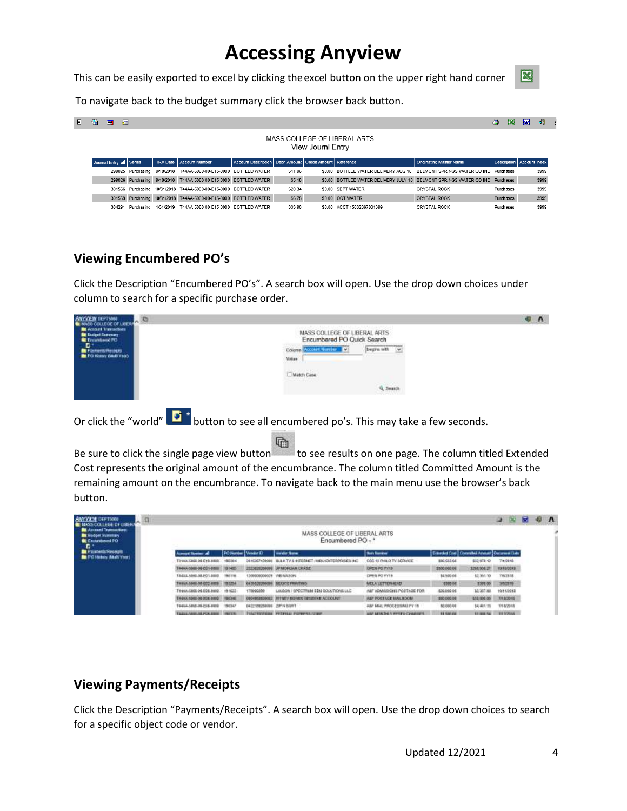This can be easily exported to excel by clicking theexcel button on the upper right hand corner



To navigate back to the budget summary click the browser back button.

| $\mathbb{H}$ | Q, | 睴      | 石                        |                 |                                                                   |                                                                |         |                   |                                                                              |                                | N<br>≝                           | लिंगे | ٠IJ  |
|--------------|----|--------|--------------------------|-----------------|-------------------------------------------------------------------|----------------------------------------------------------------|---------|-------------------|------------------------------------------------------------------------------|--------------------------------|----------------------------------|-------|------|
|              |    |        |                          |                 |                                                                   |                                                                |         | View Journl Entry | MASS COLLEGE OF LIBERAL ARTS                                                 |                                |                                  |       |      |
|              |    |        | Journal Entry all Series | <b>TRX</b> Date | Account Number                                                    | Account Description   Debit Amount   Credit Amount   Reference |         |                   |                                                                              | <b>Originating Master Name</b> | <b>Description</b> Account Index |       |      |
|              |    |        | 299025 Purchasing        | 9/18/2018       | T44AA-5060-00-E15-0000 BOTTLED WATER                              |                                                                | \$11.96 | <b>50.00</b>      | BOTTLED WATER DELIVERY AUG 18 BELMONT SPRINGS WATER CO INC. Purchases        |                                |                                  |       | 3999 |
|              |    |        | 299026 Purchasing        | 9/18/2018       | T44AA-5060-00-E15-0000 BOTTLED WATER                              |                                                                | \$5.18  |                   | \$0.00 BOTTLED WATER DELIVERY JULY 18 BELMONT SPRINGS WATER CO INC Purchases |                                |                                  |       | 3999 |
|              |    |        |                          |                 | 301566 Purchasing 10/31/2018 T44AA-5060-00-E15-0000 BOTTLED WATER |                                                                | \$20.34 |                   | \$0.00 SEPT WATER                                                            | <b>CRYSTAL ROCK</b>            | Purchases                        |       | 3999 |
|              |    |        |                          |                 | 301569 Purchasing 10/31/2018 T44AA-5060-00-E15-0000 BOTTLED WATER |                                                                | \$6.78  |                   | \$0.00 OCT WATER                                                             | <b>CRYSTAL ROCK</b>            | Purchases                        |       | 3999 |
|              |    | 304291 | Purchasing               | 1/31/2019       | T44AA-5060-00-E15-0000 BOTTLED WATER                              |                                                                | \$33.90 | \$0.00            | ACCT 15032367831399                                                          | CRYSTAL ROCK                   | Purchases                        |       | 3999 |

### **Viewing Encumbered PO's**

Click the Description "Encumbered PO's". A search box will open. Use the drop down choices under column to search for a specific purchase order.



Or click the "world" **button to see all encumbered po's.** This may take a few seconds.

h Be sure to click the single page view button  $\overline{a}$  to see results on one page. The column titled Extended Cost represents the original amount of the encumbrance. The column titled Committed Amount is the remaining amount on the encumbrance. To navigate back to the main menu use the browser's back button.

| <b>ANYWAY DEPTISES</b><br><b>CENNAS COLLEGE DE LIBER</b>                                   |                                   |                        |                            |                                                   |                                          |                                                   |                    | ۰<br>œ           | 昂 | л |
|--------------------------------------------------------------------------------------------|-----------------------------------|------------------------|----------------------------|---------------------------------------------------|------------------------------------------|---------------------------------------------------|--------------------|------------------|---|---|
| <b>B</b> Account Transactions<br><b>Bit Gudget Summary</b><br><b>C</b> Fallantwind FO<br>Đ |                                   |                        |                            | MASS COLLEGE OF LIBERAL ARTS<br>Encumbered PO - * |                                          |                                                   |                    |                  |   |   |
| Payments/Receipts                                                                          | must license all                  | PO Number   Vendor (D) |                            | <b>Verdix flores</b>                              | <b>Born Flourabon</b>                    | Extended Coal   Converted Anguan   Owners on Date |                    |                  |   |   |
| FO Fastery (Multi Year)                                                                    | TINA (268) 06-E19-8008            | 190304                 | 100003120008               | BLUCTV & SITERAET / MOU ENTERPRISES (NC           | COS 12 PHILO TV SERVICE                  | <b>BIK 553.66</b>                                 | 012, 978.12        | 市内保地             |   |   |
|                                                                                            | TAAAA 5000-00-P01-8203            | 191405                 |                            | 222302536000 DPMORGAN DHASE                       | DRENRO I'V 15                            | \$500,000.08                                      | 3265, 336, 27      | <b>FA18/3073</b> |   |   |
|                                                                                            | TA45.5 ABAD.03.FOT.0008           | 190718                 | 120000000002W VWI IMASCIN. |                                                   | DREN PO FYTS                             | 14,530.08                                         | \$2,351.50         | TROTTE           |   |   |
|                                                                                            | <b>EXECUTIVE DR. SHARE JUNEAU</b> | 1993204                | 143052620008               | <b>BECK'S FRIMTING</b>                            | <b>MCLATETIENHEAD</b>                    | <b>E505.0E</b>                                    | 1308.00            | 350319           |   |   |
|                                                                                            | T44AA/5860.00.E06.0000            | 191932                 | 179000390                  | LINSON / SPECTRUM EDU SOLUTIONS LLC.              | A&F ADAMSSHONE POSTAGE FOR               | \$26,000.06                                       | \$2,357.88         | 100113013        |   |   |
|                                                                                            | T44AA-5000-00-205-0000 190346     |                        |                            | 000495250002 IRTHEY BOWES RESERVE ACCOUNT.        | ALF POSTAGE MAILINDOM                    | 800 000 08                                        | \$32,000.05        | T/15/2010        |   |   |
|                                                                                            | 10030 ABM 00:245.000              | 190347                 | DESTRUCTION CONTROLLED     |                                                   | JULE MAIL PROCESSIMAL FY 19              | 50,090.08                                         | \$4,401.13         | 1218/2018        |   |   |
|                                                                                            | TAXA ARM IN FOLD BY 19775         |                        |                            | PENATTENTRIES PROFILE PUTAPEN CORP.               | A R.P. SATISFIED AT PRINTING CARACTERIST | <b>BY SHOW</b>                                    | <b>RT 2010 5.6</b> | TIT SYNCIAL      |   |   |

#### **Viewing Payments/Receipts**

Click the Description "Payments/Receipts". A search box will open. Use the drop down choices to search for a specific object code or vendor.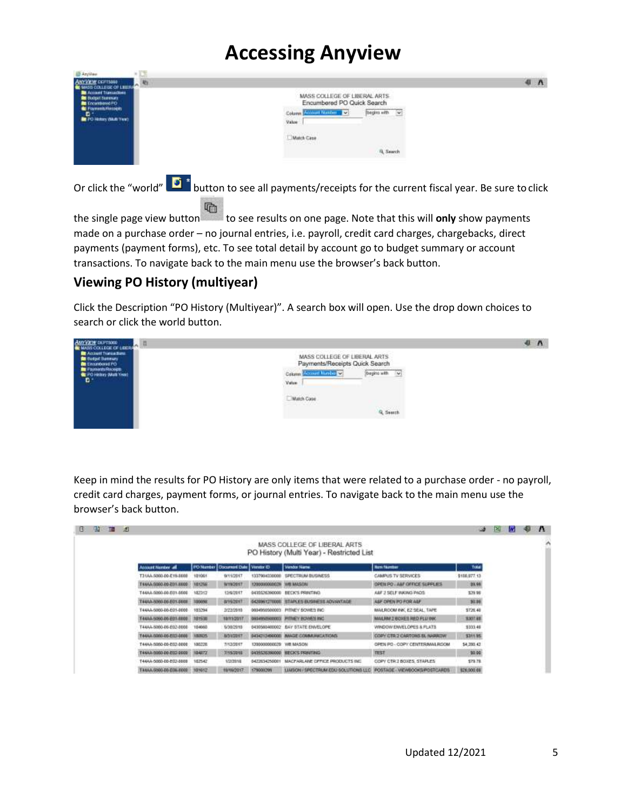| AndAss<br>ANYVEW DEFINISH<br>æ<br><b>CE WAS COLLEGE OF LEERS</b><br><b>BE Account Transactions</b> |                                                                                                       | 4 <sub>n</sub> |
|----------------------------------------------------------------------------------------------------|-------------------------------------------------------------------------------------------------------|----------------|
| <b>BE Budget Scensory</b><br>Encumental FO<br>Parmet/Records                                       | MASS COLLEGE OF LIBERAL ARTS<br>Encumbered PO Quick Search<br><b>Account Namber 22</b><br>begins with |                |
| <b>E</b> <sup>+</sup><br><b>In PO Hotels (MAR Year)</b>                                            | <b>Value</b>                                                                                          |                |
|                                                                                                    | Match Case<br>2044 ORAN                                                                               |                |
|                                                                                                    | <b>B. Search</b>                                                                                      |                |

Or click the "world" **button to see all payments/receipts for the current fiscal year. Be sure to click** 看

the single page view button to see results on one page. Note that this will **only** show payments made on a purchase order – no journal entries, i.e. payroll, credit card charges, chargebacks, direct payments (payment forms), etc. To see total detail by account go to budget summary or account transactions. To navigate back to the main menu use the browser's back button.

### **Viewing PO History (multiyear)**

Click the Description "PO History (Multiyear)". A search box will open. Use the drop down choices to search or click the world button.



Keep in mind the results for PO History are only items that were related to a purchase order - no payroll, credit card charges, payment forms, or journal entries. To navigate back to the main menu use the browser's back button.

| R | $25 - 10$ | $-59$ |                           |                      |                                     |                        |                                                                           |                               | هند            | E | <b>M</b> | 相 | $\mathbf{v}$ |
|---|-----------|-------|---------------------------|----------------------|-------------------------------------|------------------------|---------------------------------------------------------------------------|-------------------------------|----------------|---|----------|---|--------------|
|   |           |       |                           |                      |                                     |                        | MASS COLLEGE OF LIBERAL ARTS<br>PO History (Multi Year) - Restricted List |                               |                |   |          |   | ۸            |
|   |           |       | <b>Account Nember all</b> |                      | PO Number Document Date   Vendor ID |                        | Venba Name                                                                | <b>North Filterstown</b>      | Total          |   |          |   |              |
|   |           |       | 131AA-5060-00-E19-0008    | 101001               | 9/11/2017                           | 1337904330000          | SPECTRUM BUGNESS                                                          | CAMPUS TV SERVICES            | \$100,077.13   |   |          |   |              |
|   |           |       | T44AA-S060-00-201-0000    | 101256               | <b>WINGELT</b>                      | 1202330000028 WILMASON |                                                                           | DREILPO  ABF OFFICE SUPPLIES  | 29.99          |   |          |   |              |
|   |           |       | 8883-T03-86-D064-AAA1     | 102317               | 12/6/2017                           |                        | <b>GEISS/ANGOOD BECK'S PRINTING</b>                                       | A&F 3 SELF INKING PADS        | \$39.98        |   |          |   |              |
|   |           |       | T445A-5060-DE-E01-D008    | 1000193              | <b>BYES/2017</b>                    |                        | 64289612T0000; STAIN ES BUSHESS ADVANTAGE                                 | ASF OPEN PD FOR ASP.          | 30.08          |   |          |   |              |
|   |           |       | T44AA-5060-DD-E01-0000    | 185294               | 2/22/2010                           |                        | 0034950500003 PITNEY BOWES INC.                                           | MAILROOM INC. EZ SEAL: TAPE   | \$726.48       |   |          |   |              |
|   |           |       | T441A-5060-06-E01-0000    | <b>181538</b>        | 10/11/2017                          |                        | GRAPHY/HODGES INTIMEY BOWEN INC.                                          | MAILIBILE BOXES RED FLUINK    | <b>SJOT 88</b> |   |          |   |              |
|   |           |       | T44AA-5060-06-E02-0008    | 184660               | 5/30/2018                           |                        | 6430560400002 : EAY STATE ENVELOPE                                        | WINDOW EIN/ELOPES & FLATS     | \$333.48       |   |          |   |              |
|   |           |       | 7444A 0000-06-ETC-0000    | <b><i>SHOWPS</i></b> | <b>BOILDET</b>                      |                        | 5434212490000 BAAGE COMMUNICATIONS                                        | COPY CTR 2 CARTONS BL NARROW  | 531135         |   |          |   |              |
|   |           |       | T44AA-5050-00-E02-0000    | 100225               | T/12/2017                           | MOZAM BW 90000000000   |                                                                           | OPEN PO - COPY CENTERMAILROOM | \$4,280.43     |   |          |   |              |
|   |           |       | T44AA-5050-06-EXC-0000    | 104372               | WISDOUL                             |                        | GA15520390000 RECKS PRINTING                                              | TEST                          | 10.00          |   |          |   |              |
|   |           |       | T44AA-506D-0D-E02-8008    | 152542               | 1/2/2015                            | 0472634250001          | MACFARLANE OFFICE PRODUCTS INC.                                           | COPY CTR 2 BOXES, STAPLES     | \$79.78        |   |          |   |              |
|   |           |       | T44AA-5060-00-E06.0000    | 181612               | 10/16/2017                          | 179000299              | LIAISON / SPECTRUM EDU SOLUTIONS LLC                                      | POSTAGE - VIEWBOOKS/POSTCARDS | \$26,000.08    |   |          |   |              |